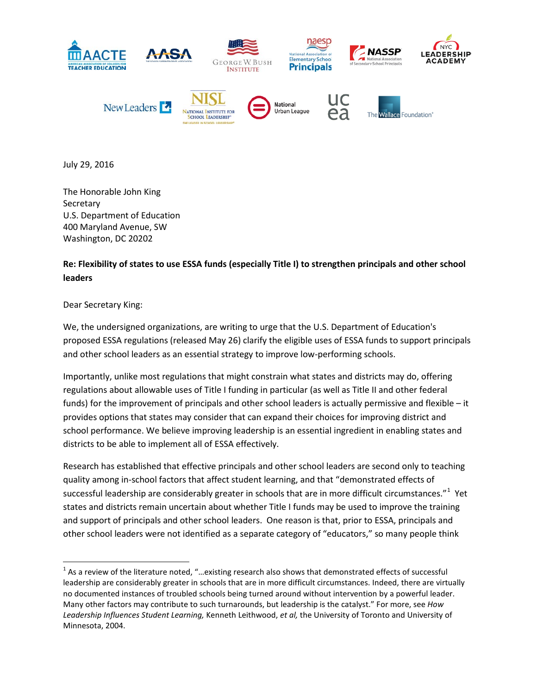

July 29, 2016

The Honorable John King **Secretary** U.S. Department of Education 400 Maryland Avenue, SW Washington, DC 20202

## **Re: Flexibility of states to use ESSA funds (especially Title I) to strengthen principals and other school leaders**

## Dear Secretary King:

We, the undersigned organizations, are writing to urge that the U.S. Department of Education's proposed ESSA regulations (released May 26) clarify the eligible uses of ESSA funds to support principals and other school leaders as an essential strategy to improve low-performing schools.

Importantly, unlike most regulations that might constrain what states and districts may do, offering regulations about allowable uses of Title I funding in particular (as well as Title II and other federal funds) for the improvement of principals and other school leaders is actually permissive and flexible – it provides options that states may consider that can expand their choices for improving district and school performance. We believe improving leadership is an essential ingredient in enabling states and districts to be able to implement all of ESSA effectively.

Research has established that effective principals and other school leaders are second only to teaching quality among in-school factors that affect student learning, and that "demonstrated effects of successful leadership are considerably greater in schools that are in more difficult circumstances."<sup>[1](#page-0-0)</sup> Yet states and districts remain uncertain about whether Title I funds may be used to improve the training and support of principals and other school leaders. One reason is that, prior to ESSA, principals and other school leaders were not identified as a separate category of "educators," so many people think

<span id="page-0-0"></span> $1$  As a review of the literature noted, "...existing research also shows that demonstrated effects of successful leadership are considerably greater in schools that are in more difficult circumstances. Indeed, there are virtually no documented instances of troubled schools being turned around without intervention by a powerful leader. Many other factors may contribute to such turnarounds, but leadership is the catalyst." For more, see *How Leadership Influences Student Learning,* Kenneth Leithwood, *et al,* the University of Toronto and University of Minnesota, 2004.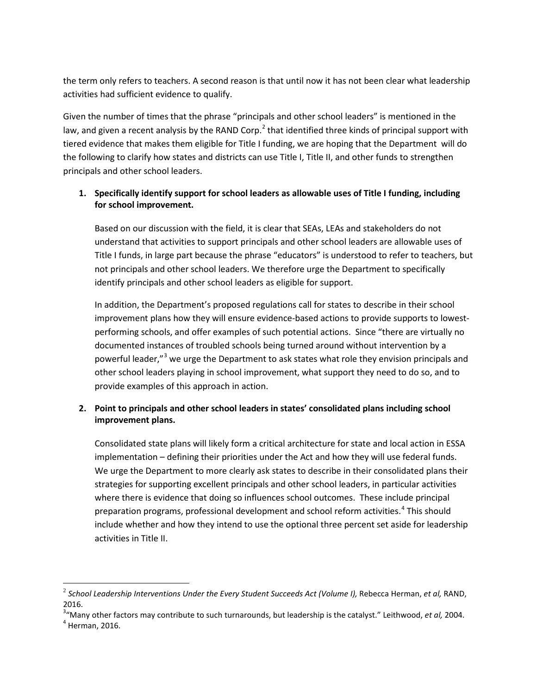the term only refers to teachers. A second reason is that until now it has not been clear what leadership activities had sufficient evidence to qualify.

Given the number of times that the phrase "principals and other school leaders" is mentioned in the law, and given a recent analysis by the RAND Corp.<sup>[2](#page-1-0)</sup> that identified three kinds of principal support with tiered evidence that makes them eligible for Title I funding, we are hoping that the Department will do the following to clarify how states and districts can use Title I, Title II, and other funds to strengthen principals and other school leaders.

## **1. Specifically identify support for school leaders as allowable uses of Title I funding, including for school improvement.**

Based on our discussion with the field, it is clear that SEAs, LEAs and stakeholders do not understand that activities to support principals and other school leaders are allowable uses of Title I funds, in large part because the phrase "educators" is understood to refer to teachers, but not principals and other school leaders. We therefore urge the Department to specifically identify principals and other school leaders as eligible for support.

In addition, the Department's proposed regulations call for states to describe in their school improvement plans how they will ensure evidence-based actions to provide supports to lowestperforming schools, and offer examples of such potential actions. Since "there are virtually no documented instances of troubled schools being turned around without intervention by a powerful leader,"<sup>[3](#page-1-1)</sup> we urge the Department to ask states what role they envision principals and other school leaders playing in school improvement, what support they need to do so, and to provide examples of this approach in action.

## **2. Point to principals and other school leaders in states' consolidated plans including school improvement plans.**

Consolidated state plans will likely form a critical architecture for state and local action in ESSA implementation – defining their priorities under the Act and how they will use federal funds. We urge the Department to more clearly ask states to describe in their consolidated plans their strategies for supporting excellent principals and other school leaders, in particular activities where there is evidence that doing so influences school outcomes. These include principal preparation programs, professional development and school reform activities. [4](#page-1-2) This should include whether and how they intend to use the optional three percent set aside for leadership activities in Title II.

 $\overline{\phantom{a}}$ 

<span id="page-1-0"></span><sup>&</sup>lt;sup>2</sup> School Leadership Interventions Under the Every Student Succeeds Act (Volume I), Rebecca Herman, et al, RAND, 2016.

<span id="page-1-1"></span><sup>&</sup>lt;sup>3</sup>"Many other factors may contribute to such turnarounds, but leadership is the catalyst." Leithwood, *et al,* 2004.<br><sup>4</sup> Herman, 2016.

<span id="page-1-2"></span>